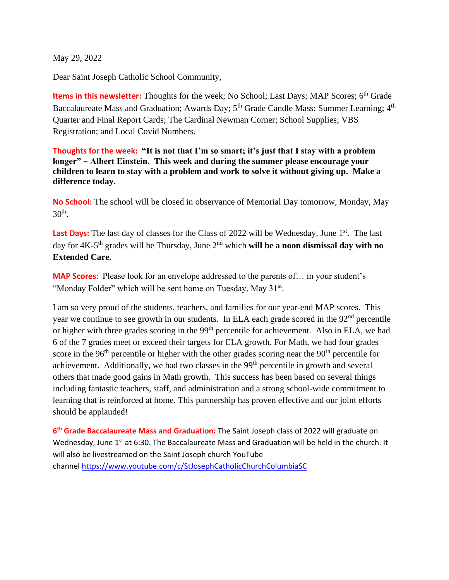May 29, 2022

Dear Saint Joseph Catholic School Community,

Items in this newsletter: Thoughts for the week; No School; Last Days; MAP Scores; 6<sup>th</sup> Grade Baccalaureate Mass and Graduation; Awards Day; 5<sup>th</sup> Grade Candle Mass; Summer Learning; 4<sup>th</sup> Quarter and Final Report Cards; The Cardinal Newman Corner; School Supplies; VBS Registration; and Local Covid Numbers.

**Thoughts for the week: "It is not that I'm so smart; it's just that I stay with a problem longer" ~ Albert Einstein. This week and during the summer please encourage your children to learn to stay with a problem and work to solve it without giving up. Make a difference today.** 

**No School:** The school will be closed in observance of Memorial Day tomorrow, Monday, May  $30<sup>th</sup>$ .

Last Days: The last day of classes for the Class of 2022 will be Wednesday, June 1<sup>st</sup>. The last day for 4K-5 th grades will be Thursday, June 2nd which **will be a noon dismissal day with no Extended Care.**

**MAP Scores:** Please look for an envelope addressed to the parents of… in your student's "Monday Folder" which will be sent home on Tuesday, May 31<sup>st</sup>.

I am so very proud of the students, teachers, and families for our year-end MAP scores. This year we continue to see growth in our students. In ELA each grade scored in the 92<sup>nd</sup> percentile or higher with three grades scoring in the 99<sup>th</sup> percentile for achievement. Also in ELA, we had 6 of the 7 grades meet or exceed their targets for ELA growth. For Math, we had four grades score in the 96<sup>th</sup> percentile or higher with the other grades scoring near the 90<sup>th</sup> percentile for achievement. Additionally, we had two classes in the 99<sup>th</sup> percentile in growth and several others that made good gains in Math growth. This success has been based on several things including fantastic teachers, staff, and administration and a strong school-wide commitment to learning that is reinforced at home. This partnership has proven effective and our joint efforts should be applauded!

**6 th Grade Baccalaureate Mass and Graduation:** The Saint Joseph class of 2022 will graduate on Wednesday, June 1<sup>st</sup> at 6:30. The Baccalaureate Mass and Graduation will be held in the church. It will also be livestreamed on the Saint Joseph church YouTube channel [https://www.youtube.com/c/StJosephCatholicChurchColumbiaSC](https://clickthrough.mysecurelinks.net/ls/click?upn=4Gztg6ERIzSJLqZvV0oOgjWH0-2BZQfeZVJRw-2B3haA4KWOcXM-2B1cTKyGPcAH5QXWo2h2jO3e1e0AUPlbgZw-2BW7ECysyQk-2FRlrw3tt7bn5BpO8-3D7cUv_imgMJSNlQCi24zg4riap-2F2KLYik2PBcyL-2B0OT03haJJUfVW021xjKOzESv5rSRlQudGt1GADiCZHLfJO-2FWIuhiMG3BE9n1D-2BrTNybcc9QDhuzLbdRyhjKInkay5p2La9Uzm5C98GTRBgjEdV62JSwJWUEM-2FNJop6mUgg7AXDVM3r4N06GA8ahoyEJTEjJxEDTJ-2B1dOvMH-2FUUFkY2Uh0WARfJ6FYxCg6DhqLhXla9h3ZSJWwSqKPLiFINrAG-2FCQV3H3StOj0fD63DssIa-2FiFvT9P1QOeiaTMpmiqTooJySjn5vjW1f9urahavvkoJySReatH-2B9Ry1vx-2Bl0CJfSwlPDLxgW97gVoUaXwv56VVfBlXALOcHRPK4AXpUek4JcFzIBs5soo6y0nu0-2BtRwF5dAAVs2JBIQFHVvjm5leejbk07FG1CODKV511d2-2BP9kTpuJ)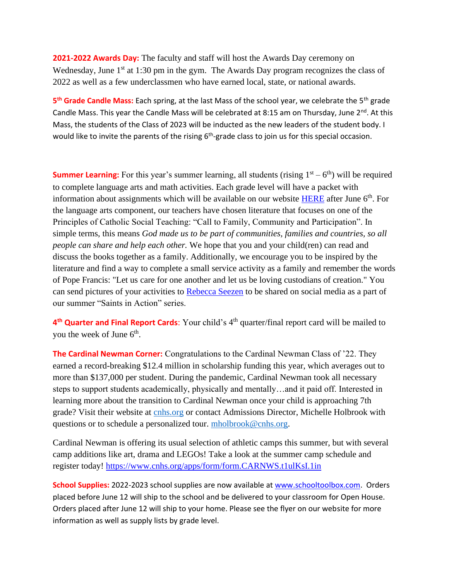**2021-2022 Awards Day:** The faculty and staff will host the Awards Day ceremony on Wednesday, June  $1<sup>st</sup>$  at 1:30 pm in the gym. The Awards Day program recognizes the class of 2022 as well as a few underclassmen who have earned local, state, or national awards.

**5 th Grade Candle Mass:** Each spring, at the last Mass of the school year, we celebrate the 5th grade Candle Mass. This year the Candle Mass will be celebrated at 8:15 am on Thursday, June  $2^{nd}$ . At this Mass, the students of the Class of 2023 will be inducted as the new leaders of the student body. I would like to invite the parents of the rising  $6<sup>th</sup>$ -grade class to join us for this special occasion.

**Summer Learning:** For this year's summer learning, all students (rising  $1<sup>st</sup> - 6<sup>th</sup>$ ) will be required to complete language arts and math activities. Each grade level will have a packet with information about assignments which will be available on our website  $HERE$  after June  $6<sup>th</sup>$ . For the language arts component, our teachers have chosen literature that focuses on one of the Principles of Catholic Social Teaching: "Call to Family, Community and Participation". In simple terms, this means *God made us to be part of communities, families and countries, so all people can share and help each other.* We hope that you and your child(ren) can read and discuss the books together as a family. Additionally, we encourage you to be inspired by the literature and find a way to complete a small service activity as a family and remember the words of Pope Francis: "Let us care for one another and let us be loving custodians of creation." You can send pictures of your activities to [Rebecca Seezen](mailto:rseezen@stjosdevine.com) to be shared on social media as a part of our summer "Saints in Action" series.

4<sup>th</sup> Quarter and Final Report Cards: Your child's 4<sup>th</sup> quarter/final report card will be mailed to you the week of June  $6<sup>th</sup>$ .

**The Cardinal Newman Corner:** Congratulations to the Cardinal Newman Class of '22. They earned a record-breaking \$12.4 million in scholarship funding this year, which averages out to more than \$137,000 per student. During the pandemic, Cardinal Newman took all necessary steps to support students academically, physically and mentally…and it paid off. Interested in learning more about the transition to Cardinal Newman once your child is approaching 7th grade? Visit their website at [cnhs.org](https://clickthrough.mysecurelinks.net/ls/click?upn=58QXsdXVyvcc0ceMi2WpINhKA16mn18jPGZMt0vB2rM-3DUPLL_imgMJSNlQCi24zg4riap-2F2KLYik2PBcyL-2B0OT03haJJUfVW021xjKOzESv5rSRlQudGt1GADiCZHLfJO-2FWIuhiMG3BE9n1D-2BrTNybcc9QDhuzLbdRyhjKInkay5p2La9Uzm5C98GTRBgjEdV62JSwJWUEM-2FNJop6mUgg7AXDVM3r4N06GA8ahoyEJTEjJxEDTJ-2B1dOvMH-2FUUFkY2Uh0WARfJ6FYxCg6DhqLhXla9h3ZSJWwSqKPLiFINrAG-2FCQV3H3StOj0fD63DssIa-2FiFvT-2F1LQq9CW4AeYutHnzyXXc3APRjr0dxMZK7npUp6azKxw5MrweBE5FvWEvkUBNhVFyEJJ2p9F3-2FnIpicdgYax1ayI5LRZC25fLdlGqWCfb23b6mcz-2Bm6-2FZ-2BJDonRajONQQybCI0nFE3MW7T4DwvrYxW1cIw3PUAoecXc5DExF7al) or contact Admissions Director, Michelle Holbrook with questions or to schedule a personalized tour. [mholbrook@cnhs.org.](mailto:mholbrook@cnhs.org)

Cardinal Newman is offering its usual selection of athletic camps this summer, but with several camp additions like art, drama and LEGOs! Take a look at the summer camp schedule and register today! [https://www.cnhs.org/apps/form/form.CARNWS.t1ulKsI.1in](https://clickthrough.mysecurelinks.net/ls/click?upn=4Gztg6ERIzSJLqZvV0oOgp36TjOLC6edCblvQUaHbAPRbDALBPtKEmRE6TRypuyMMppxhedddmjyYf2DXGxNzA-3D-3D7mS0_imgMJSNlQCi24zg4riap-2F2KLYik2PBcyL-2B0OT03haJJUfVW021xjKOzESv5rSRlQudGt1GADiCZHLfJO-2FWIuhiMG3BE9n1D-2BrTNybcc9QDhuzLbdRyhjKInkay5p2La9Uzm5C98GTRBgjEdV62JSwJWUEM-2FNJop6mUgg7AXDVM3r4N06GA8ahoyEJTEjJxEDTJ-2B1dOvMH-2FUUFkY2Uh0WARfJ6FYxCg6DhqLhXla9h3ZSJWwSqKPLiFINrAG-2FCQV3H3StOj0fD63DssIa-2FiFvT4DG95NxP37U3l81wFLT0XWHfYi7smR6nqpiAeKeTtp7T-2BM6SQ4-2FC6j5dceHE3Q-2Bfk8hND2x0N7B2SDJ8rORiyChlC7L15QyJpgsKq0YacVyE4OmOOz7JYVRHCqb-2FKQTNS3yeZ1ickA3NjzajSjIdQbON7nbk-2FsdY8xka6i-2B9Q1E)

**School Supplies:** 2022-2023 school supplies are now available at [www.schooltoolbox.com.](https://clickthrough.mysecurelinks.net/ls/click?upn=58QXsdXVyvcc0ceMi2WpIOvxh3uqEZ5Jfbw2WGcEBB5AGDE9A34XBZj20NF7V-2FcIQPv__imgMJSNlQCi24zg4riap-2F2KLYik2PBcyL-2B0OT03haJJUfVW021xjKOzESv5rSRlQudGt1GADiCZHLfJO-2FWIuhiMG3BE9n1D-2BrTNybcc9QDhuzLbdRyhjKInkay5p2La9Uzm5C98GTRBgjEdV62JSwJWUEM-2FNJop6mUgg7AXDVM3r4N06GA8ahoyEJTEjJxEDTJ-2B1dOvMH-2FUUFkY2Uh0WARfJ6FYxCg6DhqLhXla9h3ZSJWwSqKPLiFINrAG-2FCQV3H3StOj0fD63DssIa-2FiFvT1Pqk5AVVjLF-2FTB8lsCouBbuXt2ZAE8bBuOtafl-2Fy7L6EVLEaEckOren7lmOrCscroY49dS4purF4gD-2FmpEIJMia8m6JHUIFVHNAuyBmB2Mlh-2FxpBvcGX46cXyJdVD4Q5iYo3Qbl-2Bc7AYbuupQnDyBZgPO-2BvAe3SOM2M5aArJOC2) Orders placed before June 12 will ship to the school and be delivered to your classroom for Open House. Orders placed after June 12 will ship to your home. Please see the flyer on our website for more information as well as supply lists by grade level.